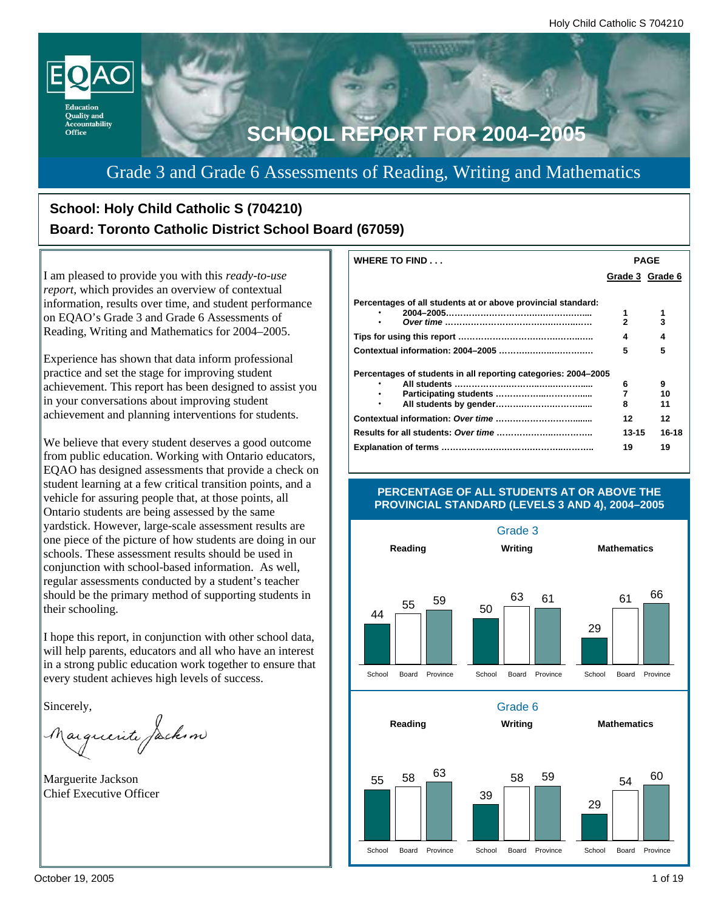

Grade 3 and Grade 6 Assessments of Reading, Writing and Mathematics

# **School: Holy Child Catholic S (704210) Board: Toronto Catholic District School Board (67059)**

I am pleased to provide you with this *ready-to-use report,* which provides an overview of contextual information, results over time, and student performance on EQAO's Grade 3 and Grade 6 Assessments of Reading, Writing and Mathematics for 2004–2005.

Experience has shown that data inform professional practice and set the stage for improving student achievement. This report has been designed to assist you in your conversations about improving student achievement and planning interventions for students.

We believe that every student deserves a good outcome from public education. Working with Ontario educators, EQAO has designed assessments that provide a check on student learning at a few critical transition points, and a vehicle for assuring people that, at those points, all Ontario students are being assessed by the same yardstick. However, large-scale assessment results are one piece of the picture of how students are doing in our schools. These assessment results should be used in conjunction with school-based information. As well, regular assessments conducted by a student's teacher should be the primary method of supporting students in their schooling.

I hope this report, in conjunction with other school data, will help parents, educators and all who have an interest in a strong public education work together to ensure that every student achieves high levels of success.

Sincerely,

arguerite Jackson

Marguerite Jackson Chief Executive Officer

| <b>WHERE TO FIND</b>                                           | PAGE            |       |  |
|----------------------------------------------------------------|-----------------|-------|--|
|                                                                | Grade 3 Grade 6 |       |  |
|                                                                |                 |       |  |
| Percentages of all students at or above provincial standard:   |                 |       |  |
|                                                                | 1               |       |  |
|                                                                | 2               | 3     |  |
|                                                                | 4               | 4     |  |
|                                                                | 5               | 5     |  |
| Percentages of students in all reporting categories: 2004–2005 |                 |       |  |
|                                                                | 6               | 9     |  |
|                                                                | 7               | 10    |  |
|                                                                | 8               | 11    |  |
|                                                                | 12              | 12    |  |
|                                                                | 13-15           | 16-18 |  |
|                                                                | 19              | 19    |  |
|                                                                |                 |       |  |



#### **PERCENTAGE OF ALL STUDENTS AT OR ABOVE THE PROVINCIAL STANDARD (LEVELS 3 AND 4), 2004–2005**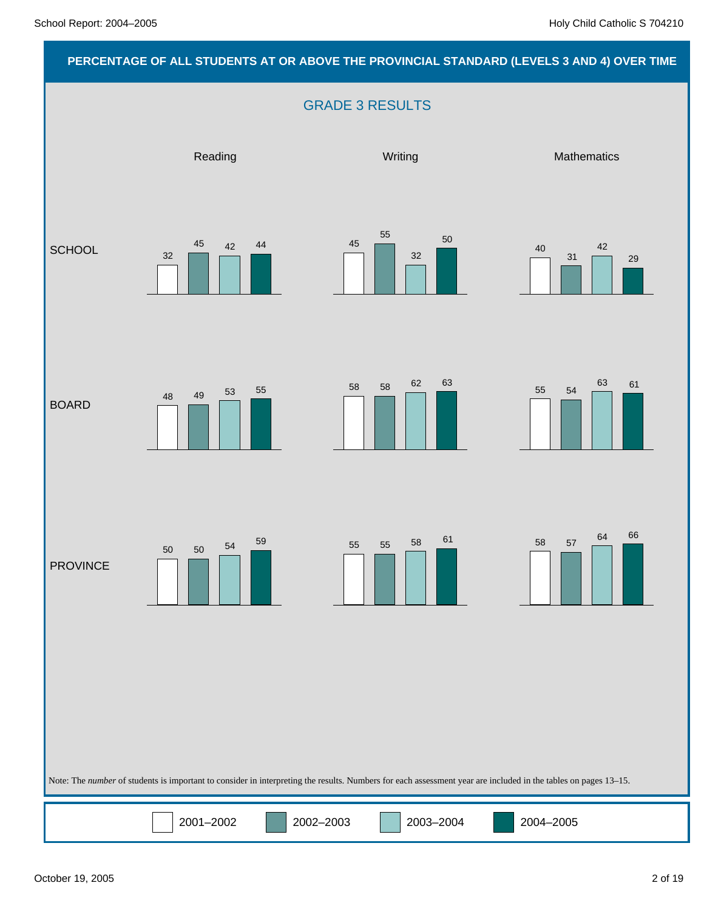# **PERCENTAGE OF ALL STUDENTS AT OR ABOVE THE PROVINCIAL STANDARD (LEVELS 3 AND 4) OVER TIME** GRADE 3 RESULTS Note: The *number* of students is important to consider in interpreting the results. Numbers for each assessment year are included in the tables on pages 13–15. Reading Network and Mathematics Mathematics Mathematics Mathematics **SCHOOL** BOARD PROVINCE 40 31 42 29 45 55 32 50 32 45 42 44 55 54  $58$   $58$   $62$   $63$   $55$   $54$   $63$   $61$ 48 49 53 <sup>55</sup> 58 57 64 66 <sup>55</sup> <sup>55</sup> <sup>58</sup> <sup>61</sup> 50 50 54 59

2001–2002 2002–2003 2003–2004 2004–2005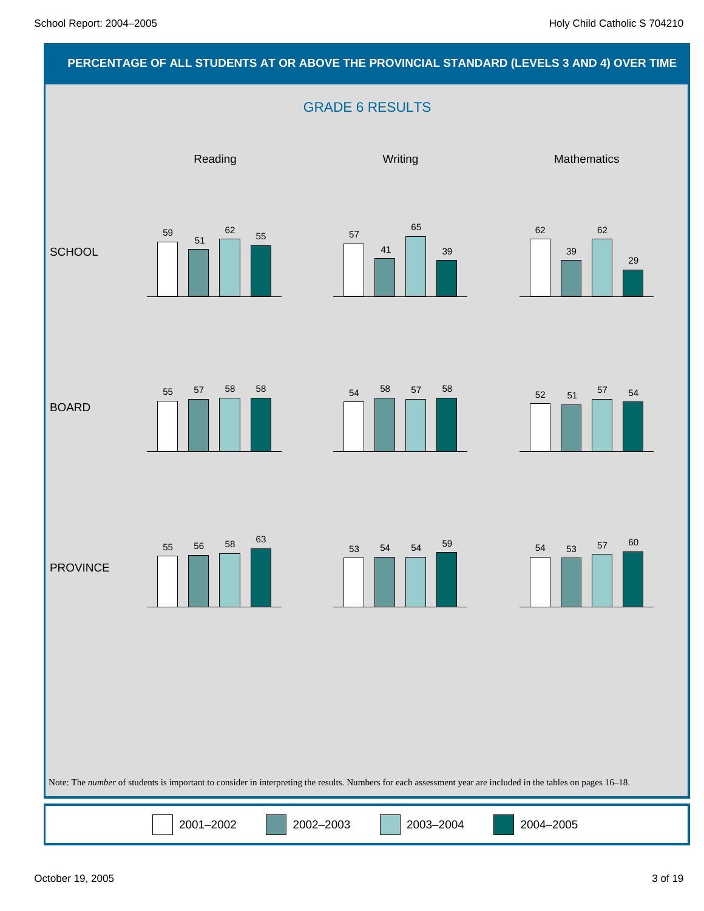### **PERCENTAGE OF ALL STUDENTS AT OR ABOVE THE PROVINCIAL STANDARD (LEVELS 3 AND 4) OVER TIME**

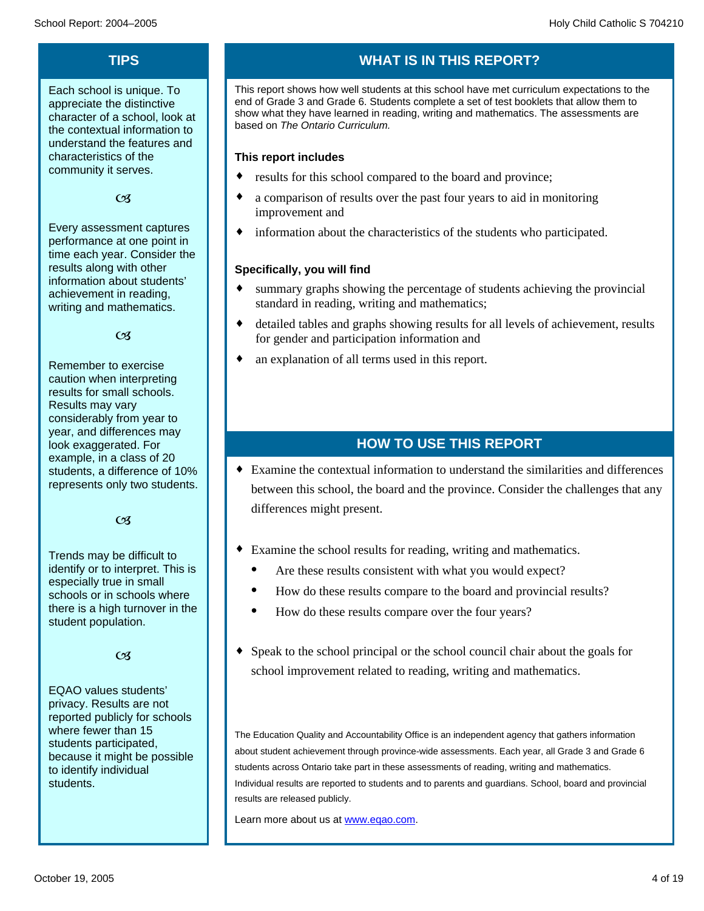### **TIPS**

Each school is unique. To appreciate the distinctive character of a school, look at the contextual information to understand the features and characteristics of the community it serves.

 $CZ$ 

Every assessment captures performance at one point in time each year. Consider the results along with other information about students' achievement in reading, writing and mathematics.

 $\mathfrak{G}$ 

Remember to exercise caution when interpreting results for small schools. Results may vary considerably from year to year, and differences may look exaggerated. For example, in a class of 20 students, a difference of 10% represents only two students.

 $\alpha$ 

Trends may be difficult to identify or to interpret. This is especially true in small schools or in schools where there is a high turnover in the student population.

 $CZ$ 

EQAO values students' privacy. Results are not reported publicly for schools where fewer than 15 students participated, because it might be possible to identify individual students.

# **WHAT IS IN THIS REPORT?**

This report shows how well students at this school have met curriculum expectations to the end of Grade 3 and Grade 6. Students complete a set of test booklets that allow them to show what they have learned in reading, writing and mathematics. The assessments are based on *The Ontario Curriculum.*

### **This report includes**

- results for this school compared to the board and province;
- $\bullet$  a comparison of results over the past four years to aid in monitoring improvement and
- $\bullet$  information about the characteristics of the students who participated.

### **Specifically, you will find**

- summary graphs showing the percentage of students achieving the provincial standard in reading, writing and mathematics;
- detailed tables and graphs showing results for all levels of achievement, results for gender and participation information and
- $\bullet$  an explanation of all terms used in this report.

### **HOW TO USE THIS REPORT**

 $\bullet$  Examine the contextual information to understand the similarities and differences between this school, the board and the province. Consider the challenges that any differences might present.

- Examine the school results for reading, writing and mathematics.
	- Are these results consistent with what you would expect?
	- · How do these results compare to the board and provincial results?
	- How do these results compare over the four years?
- Speak to the school principal or the school council chair about the goals for school improvement related to reading, writing and mathematics.

The Education Quality and Accountability Office is an independent agency that gathers information about student achievement through province-wide assessments. Each year, all Grade 3 and Grade 6 students across Ontario take part in these assessments of reading, writing and mathematics. Individual results are reported to students and to parents and guardians. School, board and provincial results are released publicly.

Learn more about us at www.eqao.com.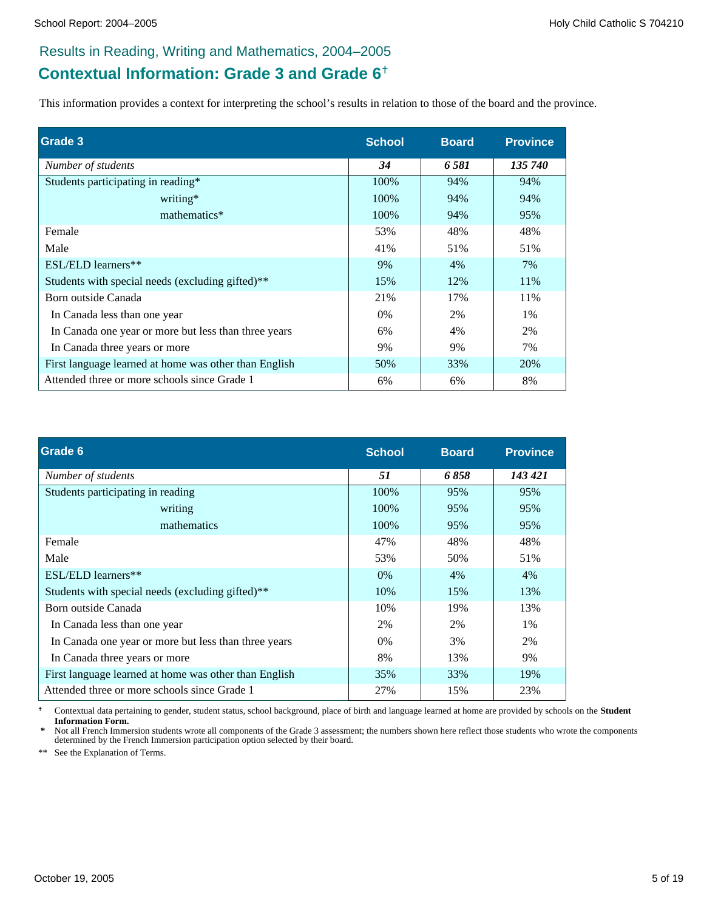# **Contextual Information: Grade 3 and Grade 6**

This information provides a context for interpreting the school's results in relation to those of the board and the province.

| Grade 3                                               | <b>School</b> | <b>Board</b> | <b>Province</b> |
|-------------------------------------------------------|---------------|--------------|-----------------|
| Number of students                                    | 34            | 6 581        | 135 740         |
| Students participating in reading*                    | 100%          | 94%          | 94%             |
| writing*                                              | 100%          | 94%          | 94%             |
| mathematics*                                          | 100%          | 94%          | 95%             |
| Female                                                | 53%           | 48%          | 48%             |
| Male                                                  | 41%           | 51%          | 51%             |
| ESL/ELD learners**                                    | 9%            | 4%           | 7%              |
| Students with special needs (excluding gifted)**      | 15%           | 12%          | 11%             |
| Born outside Canada                                   | 21%           | 17%          | 11%             |
| In Canada less than one year                          | $0\%$         | 2%           | 1%              |
| In Canada one year or more but less than three years  | 6%            | 4%           | 2%              |
| In Canada three years or more                         | 9%            | 9%           | 7%              |
| First language learned at home was other than English | 50%           | 33%          | 20%             |
| Attended three or more schools since Grade 1          | 6%            | 6%           | 8%              |

| Grade 6                                               | <b>School</b> | <b>Board</b> | <b>Province</b> |
|-------------------------------------------------------|---------------|--------------|-----------------|
| Number of students                                    | 51            | 6858         | 143 421         |
| Students participating in reading                     | 100%          | 95%          | 95%             |
| writing                                               | 100%          | 95%          | 95%             |
| mathematics                                           | 100%          | 95%          | 95%             |
| Female                                                | 47%           | 48%          | 48%             |
| Male                                                  | 53%           | 50%          | 51%             |
| ESL/ELD learners**                                    | $0\%$         | 4%           | 4%              |
| Students with special needs (excluding gifted)**      | 10%           | 15%          | 13%             |
| Born outside Canada                                   | 10%           | 19%          | 13%             |
| In Canada less than one year                          | 2%            | 2%           | $1\%$           |
| In Canada one year or more but less than three years  | $0\%$         | 3%           | 2%              |
| In Canada three years or more                         | 8%            | 13%          | 9%              |
| First language learned at home was other than English | 35%           | 33%          | 19%             |
| Attended three or more schools since Grade 1          | 27%           | 15%          | 23%             |

 Contextual data pertaining to gender, student status, school background, place of birth and language learned at home are provided by schools on the **Student Information Form.**

Not all French Immersion students wrote all components of the Grade 3 assessment; the numbers shown here reflect those students who wrote the components determined by the French Immersion participation option selected by their board.

\*\* See the Explanation of Terms.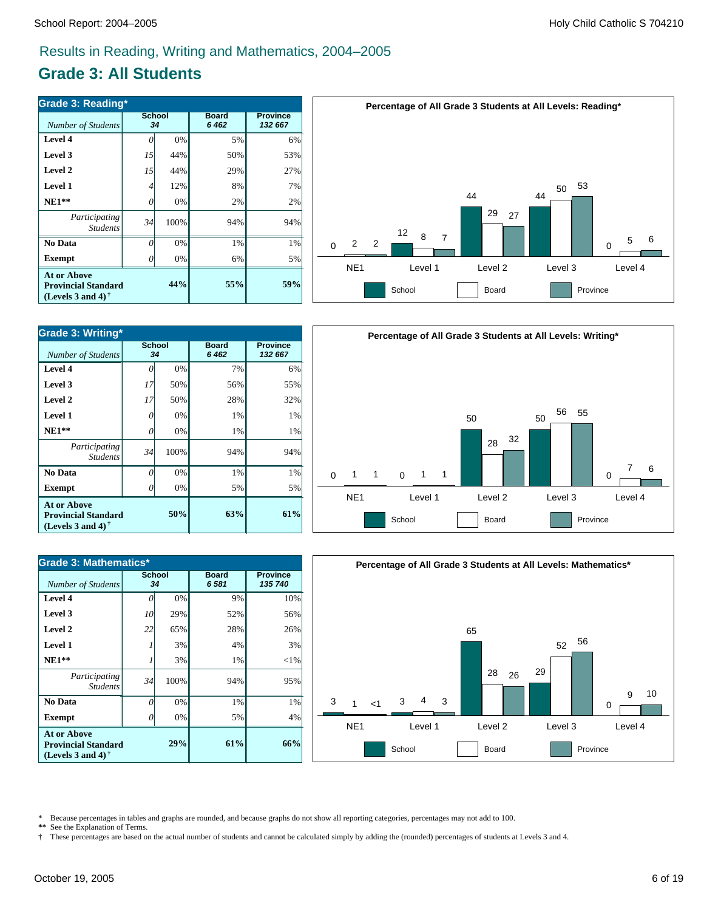# **Grade 3: All Students**

| <b>Grade 3: Reading*</b>                                                          |    |                     |                      |                            |  |  |  |  |  |
|-----------------------------------------------------------------------------------|----|---------------------|----------------------|----------------------------|--|--|--|--|--|
| Number of Students                                                                |    | <b>School</b><br>34 | <b>Board</b><br>6462 | <b>Province</b><br>132 667 |  |  |  |  |  |
| Level 4                                                                           |    | 0%                  | 5%                   | 6%                         |  |  |  |  |  |
| Level 3                                                                           | 15 | 44%                 | 50%                  | 53%                        |  |  |  |  |  |
| Level 2                                                                           | 15 | 44%                 | 29%                  | 27%                        |  |  |  |  |  |
| Level 1                                                                           | 4  | 12%                 | 8%                   | 7%                         |  |  |  |  |  |
| $NE1**$                                                                           | 0  | 0%                  | 2%                   | 2%                         |  |  |  |  |  |
| Participating<br><b>Students</b>                                                  | 34 | 100%                | 94%                  | 94%                        |  |  |  |  |  |
| No Data                                                                           | 0  | 0%                  | 1%                   | 1%                         |  |  |  |  |  |
| <b>Exempt</b>                                                                     | 0  | 0%                  | 6%                   | 5%                         |  |  |  |  |  |
| <b>At or Above</b><br><b>Provincial Standard</b><br>(Levels 3 and 4) $^{\dagger}$ |    | 55%                 | 59%                  |                            |  |  |  |  |  |



| <b>Grade 3: Writing*</b>                                                       |    |                     |                         |                            |  |  |  |  |
|--------------------------------------------------------------------------------|----|---------------------|-------------------------|----------------------------|--|--|--|--|
| Number of Students                                                             |    | <b>School</b><br>34 | <b>Board</b><br>6 4 6 2 | <b>Province</b><br>132 667 |  |  |  |  |
| Level 4                                                                        | 0  | 0%                  | 7%                      | 6%                         |  |  |  |  |
| Level 3                                                                        | 17 | 50%                 | 56%                     | 55%                        |  |  |  |  |
| Level 2                                                                        | 17 | 50%                 | 28%                     | 32%                        |  |  |  |  |
| Level 1                                                                        | 0  | 0%                  | 1%                      | 1%                         |  |  |  |  |
| $NE1**$                                                                        | 0  | 0%                  | 1%                      | 1%                         |  |  |  |  |
| Participating<br><b>Students</b>                                               | 34 | 100%                | 94%                     | 94%                        |  |  |  |  |
| No Data                                                                        | O  | 0%                  | $1\%$                   | 1%                         |  |  |  |  |
| <b>Exempt</b>                                                                  | N  | 0%                  | 5%                      | 5%                         |  |  |  |  |
| <b>At or Above</b><br><b>Provincial Standard</b><br>(Levels 3 and 4) $\dagger$ |    | 63%                 | 61%                     |                            |  |  |  |  |



| Number of Students                                                             | School | 34   | <b>Board</b><br>6581 | <b>Province</b><br>135 740 |  |
|--------------------------------------------------------------------------------|--------|------|----------------------|----------------------------|--|
| <b>Level 4</b>                                                                 |        | 0%   | 9%                   | 10%                        |  |
| Level 3                                                                        | 10     | 29%  | 52%                  | 56%                        |  |
| Level 2                                                                        | 22     | 65%  | 28%                  | 26%                        |  |
| Level 1                                                                        |        | 3%   | 4%                   | 3%                         |  |
| $NE1**$                                                                        |        | 3%   | 1%                   | $<$ 1%                     |  |
| <i>Participating</i><br><b>Students</b>                                        | 34     | 100% | 94%                  | 95%                        |  |
| No Data                                                                        | O      | 0%   | 1%                   | 1%                         |  |
| <b>Exempt</b>                                                                  |        | 0%   | 5%                   | 4%                         |  |
| <b>At or Above</b><br><b>Provincial Standard</b><br>(Levels 3 and 4) $\dagger$ |        | 29%  | 61%                  | 66%                        |  |



\* Because percentages in tables and graphs are rounded, and because graphs do not show all reporting categories, percentages may not add to 100.<br>\*\* See the Explanation of Terms.

See the Explanation of Terms.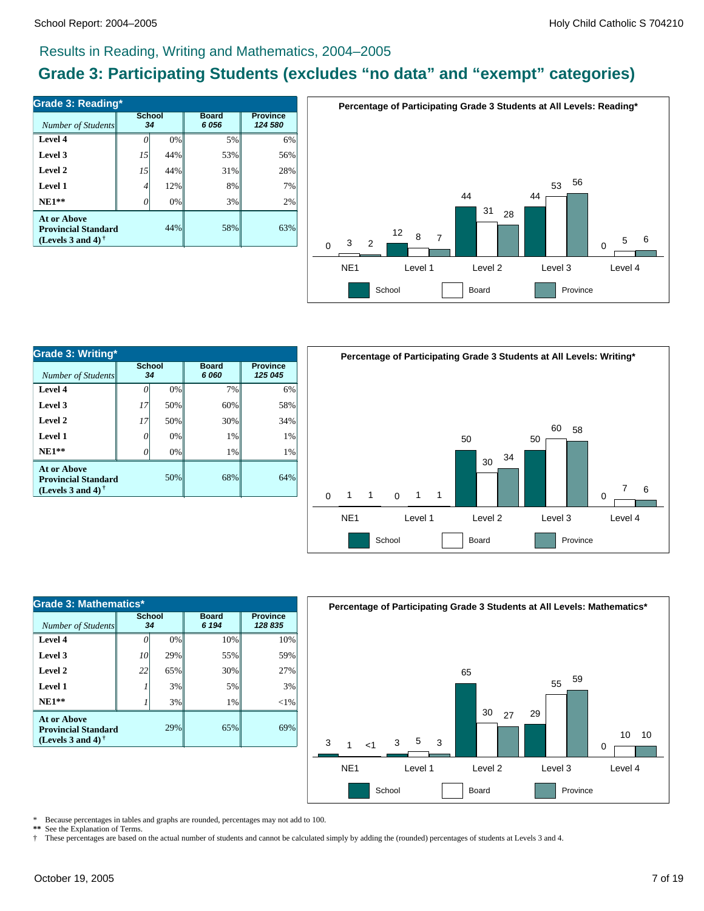# **Grade 3: Participating Students (excludes "no data" and "exempt" categories)**

| Grade 3: Reading*                                                          |        |     |                         |                            |  |  |  |  |
|----------------------------------------------------------------------------|--------|-----|-------------------------|----------------------------|--|--|--|--|
| Number of Students                                                         | School | 34  | <b>Board</b><br>6 0 5 6 | <b>Province</b><br>124 580 |  |  |  |  |
| Level 4                                                                    |        | 0%  | 5%                      | 6%                         |  |  |  |  |
| Level 3                                                                    | 15     | 44% | 53%                     | 56%                        |  |  |  |  |
| Level 2                                                                    | 15     | 44% | 31%                     | 28%                        |  |  |  |  |
| Level 1                                                                    | 4      | 12% | 8%                      | 7%                         |  |  |  |  |
| $NE1**$                                                                    |        | 0%  | 3%                      | 2%                         |  |  |  |  |
| At or Above<br><b>Provincial Standard</b><br>(Levels 3 and 4) $^{\dagger}$ |        | 44% | 58%                     | 63%                        |  |  |  |  |



| <b>Grade 3: Writing*</b>                                                                             |                     |     |                      |                            |  |  |  |  |
|------------------------------------------------------------------------------------------------------|---------------------|-----|----------------------|----------------------------|--|--|--|--|
| Number of Students                                                                                   | <b>School</b><br>34 |     | <b>Board</b><br>6060 | <b>Province</b><br>125 045 |  |  |  |  |
| Level 4                                                                                              |                     | 0%  | 7%                   | 6%                         |  |  |  |  |
| Level 3                                                                                              | 17                  | 50% | 60%                  | 58%                        |  |  |  |  |
| Level 2                                                                                              | 17                  | 50% | 30%                  | 34%                        |  |  |  |  |
| Level 1                                                                                              | $\iota$             | 0%  | 1%                   | 1%                         |  |  |  |  |
| $NE1**$                                                                                              | $\iota$             | 0%  | 1%                   | 1%                         |  |  |  |  |
| <b>At or Above</b><br><b>Provincial Standard</b><br>(Levels 3 and 4) <sup><math>\dagger</math></sup> |                     | 50% | 68%                  | 64%                        |  |  |  |  |



| <b>Grade 3: Mathematics*</b>                                                   |              |     |                         |                            |  |  |  |  |
|--------------------------------------------------------------------------------|--------------|-----|-------------------------|----------------------------|--|--|--|--|
| Number of Students                                                             | School<br>34 |     | <b>Board</b><br>6 1 9 4 | <b>Province</b><br>128 835 |  |  |  |  |
| Level 4                                                                        |              | 0%  | 10%                     | 10%                        |  |  |  |  |
| Level 3                                                                        | 10           | 29% | 55%                     | 59%                        |  |  |  |  |
| Level 2                                                                        | 22           | 65% | 30%                     | 27%                        |  |  |  |  |
| Level 1                                                                        |              | 3%  | 5%                      | 3%                         |  |  |  |  |
| $NE1**$                                                                        |              | 3%  | 1%                      | $<$ 1%                     |  |  |  |  |
| <b>At or Above</b><br><b>Provincial Standard</b><br>(Levels 3 and 4) $\dagger$ |              | 29% | 65%                     | 69%                        |  |  |  |  |



Because percentages in tables and graphs are rounded, percentages may not add to 100.

**\*\*** See the Explanation of Terms.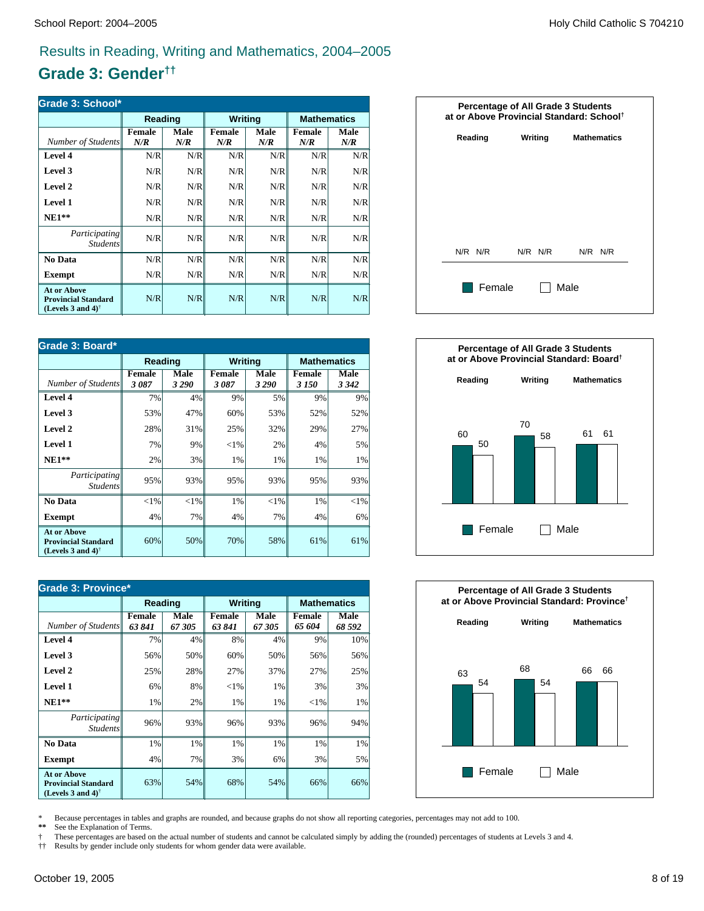# **Grade 3: Gender††**

| Grade 3: School*                                                               |                      |             |                      |             |                      |             |  |  |
|--------------------------------------------------------------------------------|----------------------|-------------|----------------------|-------------|----------------------|-------------|--|--|
|                                                                                | Reading              |             | Writing              |             | <b>Mathematics</b>   |             |  |  |
| Number of Students                                                             | <b>Female</b><br>N/R | Male<br>N/R | <b>Female</b><br>N/R | Male<br>N/R | <b>Female</b><br>N/R | Male<br>N/R |  |  |
| Level 4                                                                        | N/R                  | N/R         | N/R                  | N/R         | N/R                  | N/R         |  |  |
| Level 3                                                                        | N/R                  | N/R         | N/R                  | N/R         | N/R                  | N/R         |  |  |
| Level 2                                                                        | N/R                  | N/R         | N/R                  | N/R         | N/R                  | N/R         |  |  |
| Level 1                                                                        | N/R                  | N/R         | N/R                  | N/R         | N/R                  | N/R         |  |  |
| $NE1**$                                                                        | N/R                  | N/R         | N/R                  | N/R         | N/R                  | N/R         |  |  |
| Participating<br><i>Students</i>                                               | N/R                  | N/R         | N/R                  | N/R         | N/R                  | N/R         |  |  |
| No Data                                                                        | N/R                  | N/R         | N/R                  | N/R         | N/R                  | N/R         |  |  |
| <b>Exempt</b>                                                                  | N/R                  | N/R         | N/R                  | N/R         | N/R                  | N/R         |  |  |
| <b>At or Above</b><br><b>Provincial Standard</b><br>(Levels 3 and 4) $\dagger$ | N/R                  | N/R         | N/R                  | N/R         | N/R                  | N/R         |  |  |

| Grade 3: Board*                                                                                      |                       |                 |                |                 |                        |                    |  |  |
|------------------------------------------------------------------------------------------------------|-----------------------|-----------------|----------------|-----------------|------------------------|--------------------|--|--|
|                                                                                                      | Reading               |                 | <b>Writing</b> |                 |                        | <b>Mathematics</b> |  |  |
| Number of Students                                                                                   | <b>Female</b><br>3087 | Male<br>3 2 9 0 | Female<br>3087 | Male<br>3 2 9 0 | <b>Female</b><br>3 150 | Male<br>3 3 4 2    |  |  |
| Level 4                                                                                              | 7%                    | 4%              | 9%             | 5%              | 9%                     | 9%                 |  |  |
| Level 3                                                                                              | 53%                   | 47%             | 60%            | 53%             | 52%                    | 52%                |  |  |
| Level 2                                                                                              | 28%                   | 31%             | 25%            | 32%             | 29%                    | 27%                |  |  |
| Level 1                                                                                              | 7%                    | 9%              | ${<}1\%$       | 2%              | 4%                     | 5%                 |  |  |
| $NE1**$                                                                                              | 2%                    | 3%              | 1%             | 1%              | 1%                     | 1%                 |  |  |
| Participating<br><i>Students</i>                                                                     | 95%                   | 93%             | 95%            | 93%             | 95%                    | 93%                |  |  |
| No Data                                                                                              | ${<}1\%$              | < 1%            | 1%             | $<$ 1%          | 1%                     | $<$ 1%             |  |  |
| <b>Exempt</b>                                                                                        | 4%                    | 7%              | 4%             | 7%              | 4%                     | 6%                 |  |  |
| <b>At or Above</b><br><b>Provincial Standard</b><br>(Levels 3 and 4) <sup><math>\dagger</math></sup> | 60%                   | 50%             | 70%            | 58%             | 61%                    | 61%                |  |  |

| <b>Grade 3: Province*</b>                                                                            |                         |               |                         |               |                         |                    |  |
|------------------------------------------------------------------------------------------------------|-------------------------|---------------|-------------------------|---------------|-------------------------|--------------------|--|
|                                                                                                      | Reading                 |               | <b>Writing</b>          |               |                         | <b>Mathematics</b> |  |
| Number of Students                                                                                   | <b>Female</b><br>63 841 | Male<br>67305 | <b>Female</b><br>63 841 | Male<br>67305 | <b>Female</b><br>65 604 | Male<br>68 592     |  |
| Level 4                                                                                              | 7%                      | 4%            | 8%                      | 4%            | 9%                      | 10%                |  |
| Level 3                                                                                              | 56%                     | 50%           | 60%                     | 50%           | 56%                     | 56%                |  |
| Level 2                                                                                              | 25%                     | 28%           | 27%                     | 37%           | 27%                     | 25%                |  |
| Level 1                                                                                              | 6%                      | 8%            | ${<}1\%$                | 1%            | 3%                      | 3%                 |  |
| $NE1**$                                                                                              | 1%                      | 2%            | 1%                      | 1%            | ${<}1\%$                | 1%                 |  |
| <i>Participating</i><br><b>Students</b>                                                              | 96%                     | 93%           | 96%                     | 93%           | 96%                     | 94%                |  |
| No Data                                                                                              | 1%                      | $1\%$         | 1%                      | 1%            | 1%                      | 1%                 |  |
| <b>Exempt</b>                                                                                        | 4%                      | 7%            | 3%                      | 6%            | 3%                      | 5%                 |  |
| <b>At or Above</b><br><b>Provincial Standard</b><br>(Levels 3 and 4) <sup><math>\dagger</math></sup> | 63%                     | 54%           | 68%                     | 54%           | 66%                     | 66%                |  |







\* Because percentages in tables and graphs are rounded, and because graphs do not show all reporting categories, percentages may not add to 100.<br>\*\* See the Explanation of Terms.

See the Explanation of Terms.

† These percentages are based on the actual number of students and cannot be calculated simply by adding the (rounded) percentages of students at Levels 3 and 4.

†† Results by gender include only students for whom gender data were available.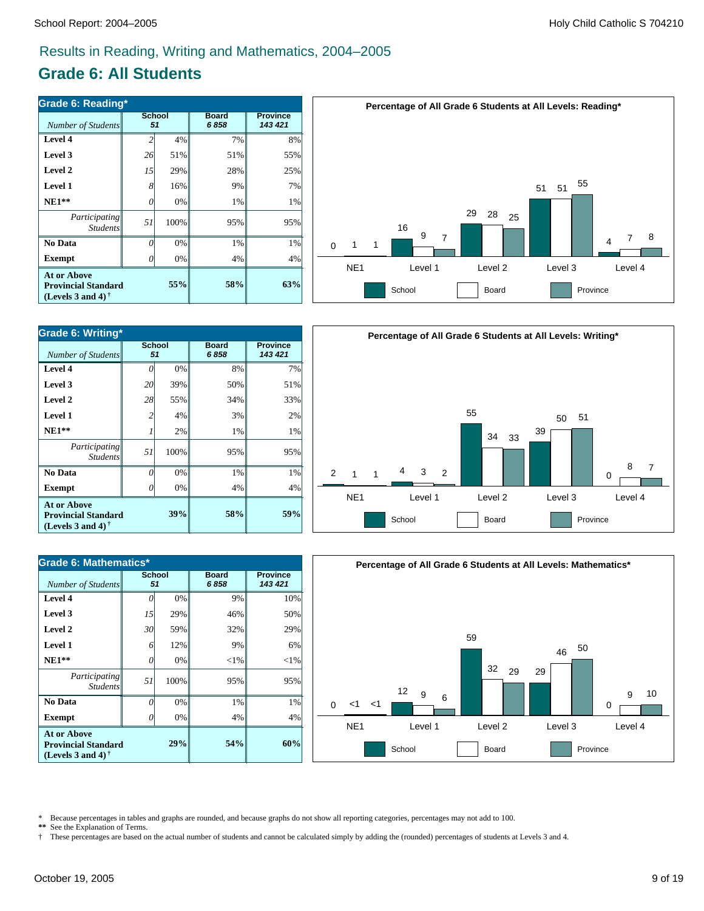# **Grade 6: All Students**

| Grade 6: Reading*                                                                 |     |                     |                      |                            |  |  |  |  |
|-----------------------------------------------------------------------------------|-----|---------------------|----------------------|----------------------------|--|--|--|--|
| Number of Students                                                                |     | <b>School</b><br>51 | <b>Board</b><br>6858 | <b>Province</b><br>143 421 |  |  |  |  |
| Level 4                                                                           |     | 4%                  | 7%                   | 8%                         |  |  |  |  |
| Level 3                                                                           | 26  | 51%                 | 51%                  | 55%                        |  |  |  |  |
| Level 2                                                                           | 15  | 29%                 | 28%                  | 25%                        |  |  |  |  |
| Level 1                                                                           | 8   | 16%                 | 9%                   | 7%                         |  |  |  |  |
| $NE1**$                                                                           | 0   | 0%                  | 1%                   | 1%                         |  |  |  |  |
| Participating<br><b>Students</b>                                                  | 51  | 100%                | 95%                  | 95%                        |  |  |  |  |
| No Data                                                                           | 0   | 0%                  | 1%                   | 1%                         |  |  |  |  |
| <b>Exempt</b>                                                                     | 0   | 0%                  | 4%                   | 4%                         |  |  |  |  |
| <b>At or Above</b><br><b>Provincial Standard</b><br>(Levels 3 and 4) $^{\dagger}$ | 55% | 58%                 | 63%                  |                            |  |  |  |  |



| Grade 6: Writing*                                                                                           |                |                     |                      |                            |  |  |  |
|-------------------------------------------------------------------------------------------------------------|----------------|---------------------|----------------------|----------------------------|--|--|--|
| <b>Number of Students</b>                                                                                   |                | <b>School</b><br>51 | <b>Board</b><br>6858 | <b>Province</b><br>143 421 |  |  |  |
| Level 4                                                                                                     |                | 0%                  | 8%                   | 7%                         |  |  |  |
| Level 3                                                                                                     | 20             | 39%                 | 50%                  | 51%                        |  |  |  |
| Level 2                                                                                                     | 28             | 55%                 | 34%                  | 33%                        |  |  |  |
| Level 1                                                                                                     | $\mathfrak{D}$ | 4%                  | 3%                   | 2%                         |  |  |  |
| $NE1**$                                                                                                     |                | 2%                  | 1%                   | 1%                         |  |  |  |
| Participating<br><b>Students</b>                                                                            | 51             | 100%                | 95%                  | 95%                        |  |  |  |
| No Data                                                                                                     | Ω              | 0%                  | 1%                   | 1%                         |  |  |  |
| <b>Exempt</b>                                                                                               |                | 0%                  | 4%                   | 4%                         |  |  |  |
| <b>At or Above</b><br>39%<br><b>Provincial Standard</b><br>(Levels 3 and 4) <sup><math>\dagger</math></sup> |                |                     | 58%                  | 59%                        |  |  |  |

|                                                |             |                | Percentage of All Grade 6 Students at All Levels: Writing* |                                    |
|------------------------------------------------|-------------|----------------|------------------------------------------------------------|------------------------------------|
| $\overline{2}$<br>$\mathbf{1}$<br>$\mathbf{1}$ | 4<br>3<br>2 | 55<br>34<br>33 | 51<br>50<br>39                                             | 8<br>$\overline{7}$<br>$\mathbf 0$ |
| NE <sub>1</sub>                                | Level 1     | Level 2        | Level 3                                                    | Level 4                            |
|                                                | School      | Board          | Province                                                   |                                    |



**60%** 4% 1% 95%  $< 1%$ 6% 29% 50% 10% **54%** 4% 1% 95%  $<$ 1% 9% 32% 46% 9% **29%** 0% 0% 100% 0% 12% 59% 29% 0% *0 51 0 6 30 15 0* **Exempt**  $\qquad$  0  **No Data** *Participating Students*  **NE1\*\* Level 1 Level 2 Level 3 Level 4 At or Above Provincial Standard (Levels 3 and 4) †**

School<br>51

\* Because percentages in tables and graphs are rounded, and because graphs do not show all reporting categories, percentages may not add to 100.<br>\*\* See the Explanation of Terms.

**Province** *143 421*

**Board** *6 858*

See the Explanation of Terms.

*Number of Students 51*

**Grade 6: Mathematics\***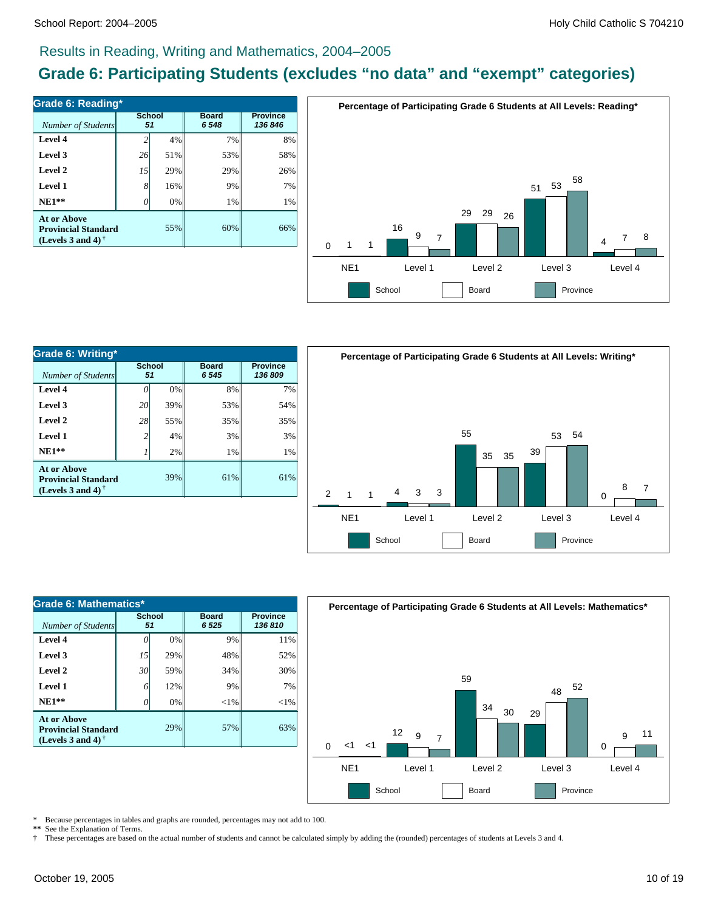# **Grade 6: Participating Students (excludes "no data" and "exempt" categories)**

| <b>Grade 6: Reading*</b>                                                                      |              |     |                         |                            |  |  |  |
|-----------------------------------------------------------------------------------------------|--------------|-----|-------------------------|----------------------------|--|--|--|
| Number of Students                                                                            | School<br>51 |     | <b>Board</b><br>6 5 4 8 | <b>Province</b><br>136 846 |  |  |  |
| Level 4                                                                                       |              | 4%  | 7%                      | 8%                         |  |  |  |
| Level 3                                                                                       | 26           | 51% | 53%                     | 58%                        |  |  |  |
| Level 2                                                                                       | 15           | 29% | 29%                     | 26%                        |  |  |  |
| Level 1                                                                                       | 8            | 16% | 9%                      | 7%                         |  |  |  |
| $NE1**$                                                                                       |              | 0%  | 1%                      | 1%                         |  |  |  |
| At or Above<br><b>Provincial Standard</b><br>(Levels 3 and 4) <sup><math>\dagger</math></sup> |              | 55% | 60%                     | 66%                        |  |  |  |



| Grade 6: Writing*                                                                     |                     |     |                         |                            |  |  |  |  |
|---------------------------------------------------------------------------------------|---------------------|-----|-------------------------|----------------------------|--|--|--|--|
| Number of Students                                                                    | <b>School</b><br>51 |     | <b>Board</b><br>6 5 4 5 | <b>Province</b><br>136 809 |  |  |  |  |
| Level 4                                                                               |                     | 0%  | 8%                      | 7%                         |  |  |  |  |
| Level 3                                                                               | 20                  | 39% | 53%                     | 54%                        |  |  |  |  |
| Level 2                                                                               | 28                  | 55% | 35%                     | 35%                        |  |  |  |  |
| Level 1                                                                               | $\overline{c}$      | 4%  | 3%                      | 3%                         |  |  |  |  |
| $NE1**$                                                                               |                     | 2%  | 1%                      | 1%                         |  |  |  |  |
| <b>At or Above</b><br>39%<br><b>Provincial Standard</b><br>(Levels 3 and 4) $\dagger$ |                     |     | 61%                     | 61%                        |  |  |  |  |



| Grade 6: Mathematics*                                                          |                     |     |                        |                            |  |  |  |  |
|--------------------------------------------------------------------------------|---------------------|-----|------------------------|----------------------------|--|--|--|--|
| Number of Students                                                             | <b>School</b><br>51 |     | <b>Board</b><br>6 5 25 | <b>Province</b><br>136 810 |  |  |  |  |
| Level 4                                                                        |                     | 0%  | 9%                     | 11%                        |  |  |  |  |
| Level 3                                                                        | 15                  | 29% | 48%                    | 52%                        |  |  |  |  |
| Level 2                                                                        | 30                  | 59% | 34%                    | 30%                        |  |  |  |  |
| Level 1                                                                        | 6                   | 12% | 9%                     | 7%                         |  |  |  |  |
| $NE1**$                                                                        |                     | 0%  | $<$ 1%                 | $<$ 1%                     |  |  |  |  |
| <b>At or Above</b><br><b>Provincial Standard</b><br>(Levels 3 and 4) $\dagger$ |                     | 29% | 57%                    | 63%                        |  |  |  |  |



Because percentages in tables and graphs are rounded, percentages may not add to 100.

**\*\*** See the Explanation of Terms.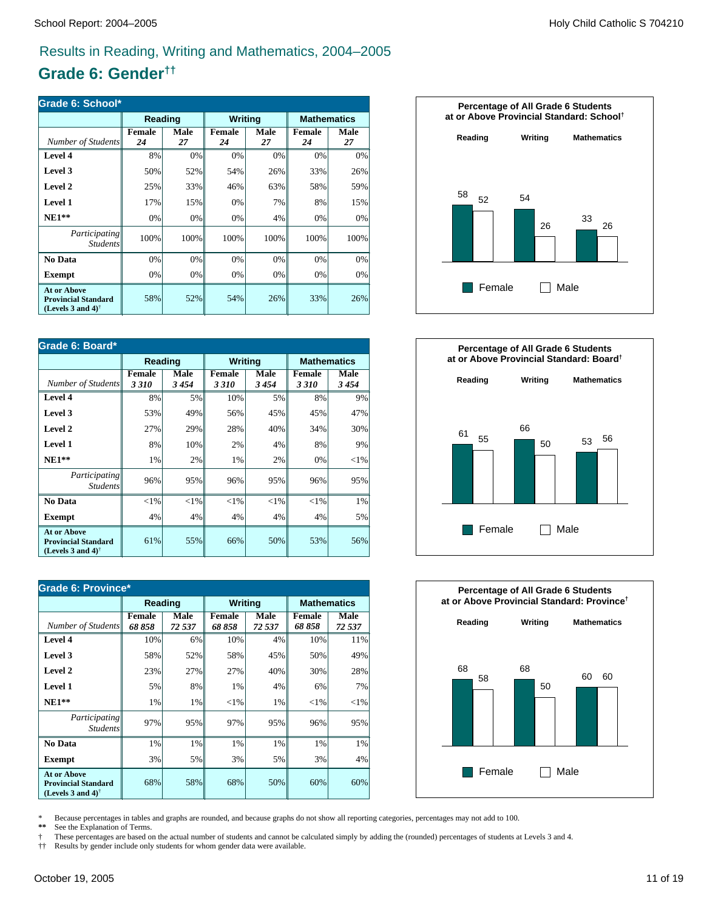# **Grade 6: Gender††**

| Grade 6: School*                                                                                     |              |            |                     |            |                     |                    |  |
|------------------------------------------------------------------------------------------------------|--------------|------------|---------------------|------------|---------------------|--------------------|--|
|                                                                                                      | Reading      |            | Writing             |            |                     | <b>Mathematics</b> |  |
| Number of Students                                                                                   | Female<br>24 | Male<br>27 | <b>Female</b><br>24 | Male<br>27 | <b>Female</b><br>24 | Male<br>27         |  |
| Level 4                                                                                              | 8%           | 0%         | 0%                  | 0%         | 0%                  | 0%                 |  |
| Level 3                                                                                              | 50%          | 52%        | 54%                 | 26%        | 33%                 | 26%                |  |
| Level 2                                                                                              | 25%          | 33%        | 46%                 | 63%        | 58%                 | 59%                |  |
| Level 1                                                                                              | 17%          | 15%        | 0%                  | 7%         | 8%                  | 15%                |  |
| $NE1**$                                                                                              | 0%           | 0%         | 0%                  | 4%         | 0%                  | 0%                 |  |
| <i>Participating</i><br><b>Students</b>                                                              | 100%         | 100%       | 100%                | 100%       | 100%                | 100%               |  |
| No Data                                                                                              | 0%           | 0%         | 0%                  | 0%         | 0%                  | 0%                 |  |
| <b>Exempt</b>                                                                                        | 0%           | 0%         | 0%                  | 0%         | 0%                  | 0%                 |  |
| <b>At or Above</b><br><b>Provincial Standard</b><br>(Levels 3 and 4) <sup><math>\dagger</math></sup> | 58%          | 52%        | 54%                 | 26%        | 33%                 | 26%                |  |

| Grade 6: Board*                                                                                      |                |              |                       |              |                |                    |  |
|------------------------------------------------------------------------------------------------------|----------------|--------------|-----------------------|--------------|----------------|--------------------|--|
|                                                                                                      | Reading        |              | <b>Writing</b>        |              |                | <b>Mathematics</b> |  |
| Number of Students                                                                                   | Female<br>3310 | Male<br>3454 | <b>Female</b><br>3310 | Male<br>3454 | Female<br>3310 | Male<br>3454       |  |
| Level 4                                                                                              | 8%             | 5%           | 10%                   | 5%           | 8%             | 9%                 |  |
| Level 3                                                                                              | 53%            | 49%          | 56%                   | 45%          | 45%            | 47%                |  |
| Level 2                                                                                              | 27%            | 29%          | 28%                   | 40%          | 34%            | 30%                |  |
| Level 1                                                                                              | 8%             | 10%          | 2%                    | 4%           | 8%             | 9%                 |  |
| $NE1**$                                                                                              | 1%             | 2%           | 1%                    | 2%           | 0%             | ${<}1\%$           |  |
| Participating<br><b>Students</b>                                                                     | 96%            | 95%          | 96%                   | 95%          | 96%            | 95%                |  |
| No Data                                                                                              | ${<}1\%$       | ${<}1\%$     | ${<}1\%$              | $<$ 1%       | $<$ 1%         | 1%                 |  |
| <b>Exempt</b>                                                                                        | 4%             | 4%           | 4%                    | 4%           | 4%             | 5%                 |  |
| <b>At or Above</b><br><b>Provincial Standard</b><br>(Levels 3 and 4) <sup><math>\dagger</math></sup> | 61%            | 55%          | 66%                   | 50%          | 53%            | 56%                |  |

| Grade 6: Province*                                                                                   |                 |                |                         |                       |                         |                    |
|------------------------------------------------------------------------------------------------------|-----------------|----------------|-------------------------|-----------------------|-------------------------|--------------------|
|                                                                                                      | Reading         |                | <b>Writing</b>          |                       |                         | <b>Mathematics</b> |
| Number of Students                                                                                   | Female<br>68858 | Male<br>72 537 | <b>Female</b><br>68 858 | <b>Male</b><br>72 537 | <b>Female</b><br>68 858 | Male<br>72 537     |
| Level 4                                                                                              | 10%             | 6%             | 10%                     | 4%                    | 10%                     | 11%                |
| Level 3                                                                                              | 58%             | 52%            | 58%                     | 45%                   | 50%                     | 49%                |
| Level 2                                                                                              | 23%             | 27%            | 27%                     | 40%                   | 30%                     | 28%                |
| <b>Level 1</b>                                                                                       | 5%              | 8%             | 1%                      | 4%                    | 6%                      | 7%                 |
| $NE1**$                                                                                              | 1%              | $1\%$          | ${<}1\%$                | 1%                    | ${<}1\%$                | $<$ 1%             |
| Participating<br><b>Students</b>                                                                     | 97%             | 95%            | 97%                     | 95%                   | 96%                     | 95%                |
| No Data                                                                                              | 1%              | 1%             | 1%                      | 1%                    | 1%                      | 1%                 |
| <b>Exempt</b>                                                                                        | 3%              | 5%             | 3%                      | 5%                    | 3%                      | 4%                 |
| <b>At or Above</b><br><b>Provincial Standard</b><br>(Levels 3 and 4) <sup><math>\dagger</math></sup> | 68%             | 58%            | 68%                     | 50%                   | 60%                     | 60%                |







\* Because percentages in tables and graphs are rounded, and because graphs do not show all reporting categories, percentages may not add to 100.<br>\*\* See the Explanation of Terms.

See the Explanation of Terms.

† These percentages are based on the actual number of students and cannot be calculated simply by adding the (rounded) percentages of students at Levels 3 and 4.

†† Results by gender include only students for whom gender data were available.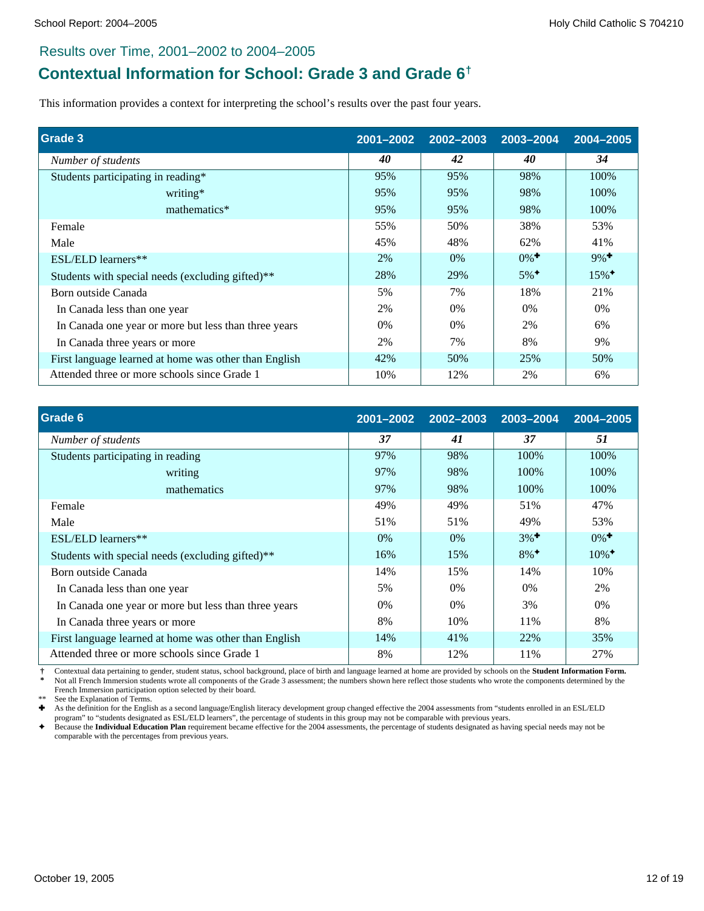# **Contextual Information for School: Grade 3 and Grade 6†**

This information provides a context for interpreting the school's results over the past four years.

| Grade 3                                               | 2001-2002 | 2002-2003 | 2003-2004          | 2004-2005           |
|-------------------------------------------------------|-----------|-----------|--------------------|---------------------|
| Number of students                                    | 40        | 42        | 40                 | 34                  |
| Students participating in reading*                    | 95%       | 95%       | 98%                | 100%                |
| writing*                                              | 95%       | 95%       | 98%                | 100%                |
| mathematics*                                          | 95%       | 95%       | 98%                | 100%                |
| Female                                                | 55%       | 50%       | 38%                | 53%                 |
| Male                                                  | 45%       | 48%       | 62%                | 41%                 |
| ESL/ELD learners**                                    | 2%        | 0%        | $0\%$ <sup>+</sup> | $9\%$ <sup>+</sup>  |
| Students with special needs (excluding gifted)**      | 28%       | 29%       | $5\%$ <sup>+</sup> | $15\%$ <sup>+</sup> |
| Born outside Canada                                   | 5%        | 7%        | 18%                | 21%                 |
| In Canada less than one year                          | 2%        | 0%        | $0\%$              | $0\%$               |
| In Canada one year or more but less than three years  | $0\%$     | $0\%$     | 2%                 | 6%                  |
| In Canada three years or more                         | 2%        | 7%        | 8%                 | 9%                  |
| First language learned at home was other than English | 42%       | 50%       | 25%                | 50%                 |
| Attended three or more schools since Grade 1          | 10%       | 12%       | 2%                 | 6%                  |

| Grade 6                                               | 2001-2002 | 2002-2003 | 2003-2004          | 2004-2005           |
|-------------------------------------------------------|-----------|-----------|--------------------|---------------------|
| Number of students                                    | 37        | 41        | 37                 | 51                  |
| Students participating in reading                     | 97%       | 98%       | 100%               | 100%                |
| writing                                               | 97%       | 98%       | 100%               | 100%                |
| mathematics                                           | 97%       | 98%       | 100%               | 100%                |
| Female                                                | 49%       | 49%       | 51%                | 47%                 |
| Male                                                  | 51%       | 51%       | 49%                | 53%                 |
| ESL/ELD learners**                                    | $0\%$     | $0\%$     | $3\%$ <sup>+</sup> | $0\%$ <sup>+</sup>  |
| Students with special needs (excluding gifted)**      | 16%       | 15%       | $8\%$ <sup>+</sup> | $10\%$ <sup>+</sup> |
| Born outside Canada                                   | 14%       | 15%       | 14%                | 10%                 |
| In Canada less than one year                          | 5%        | 0%        | 0%                 | 2%                  |
| In Canada one year or more but less than three years  | $0\%$     | $0\%$     | 3%                 | 0%                  |
| In Canada three years or more                         | 8%        | 10%       | 11%                | 8%                  |
| First language learned at home was other than English | 14%       | 41%       | 22%                | 35%                 |
| Attended three or more schools since Grade 1          | 8%        | 12%       | 11%                | 27%                 |

 **†** Contextual data pertaining to gender, student status, school background, place of birth and language learned at home are provided by schools on the **Student Information Form.** Not all French Immersion students wrote all components of the Grade 3 assessment; the numbers shown here reflect those students who wrote the components determined by the French Immersion participation option selected by their board.

See the Explanation of Terms.

Ì As the definition for the English as a second language/English literacy development group changed effective the 2004 assessments from "students enrolled in an ESL/ELD program" to "students designated as ESL/ELD learners", the percentage of students in this group may not be comparable with previous years.

è Because the **Individual Education Plan** requirement became effective for the 2004 assessments, the percentage of students designated as having special needs may not be comparable with the percentages from previous years.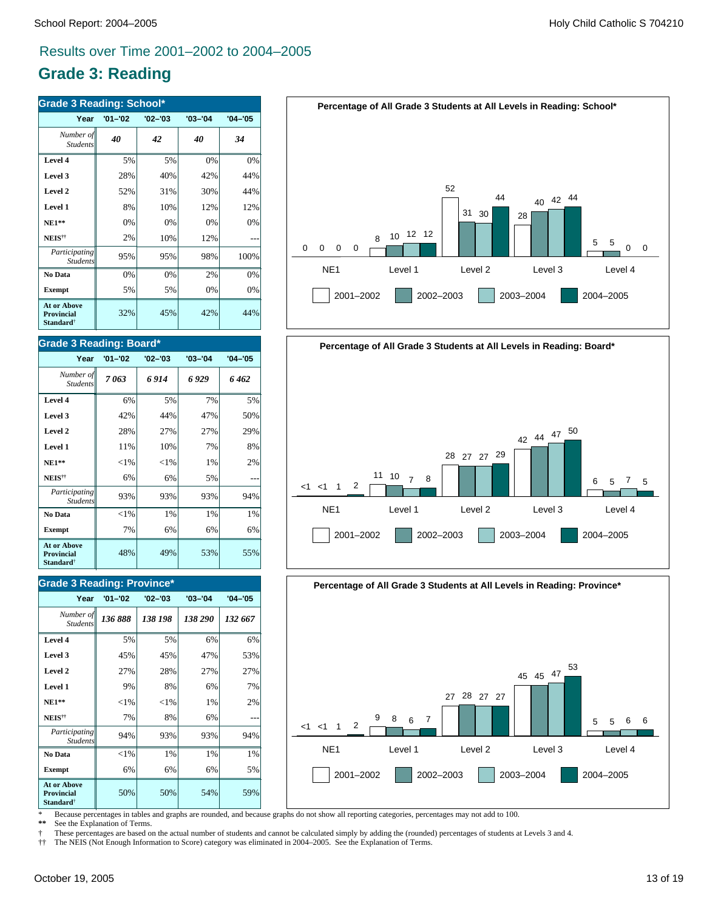# **Grade 3: Reading**

| <b>Grade 3 Reading: School*</b>                                  |             |             |             |             |  |  |  |
|------------------------------------------------------------------|-------------|-------------|-------------|-------------|--|--|--|
| Year                                                             | $'01 - '02$ | $'02 - '03$ | $'03 - '04$ | $'04 - '05$ |  |  |  |
| Number of<br><b>Students</b>                                     | 40          | 42          | 40          | 34          |  |  |  |
| Level 4                                                          | 5%          | 5%          | 0%          | 0%          |  |  |  |
| Level 3                                                          | 28%         | 40%         | 42%         | 44%         |  |  |  |
| Level 2                                                          | 52%         | 31%         | 30%         | 44%         |  |  |  |
| Level 1                                                          | 8%          | 10%         | 12%         | 12%         |  |  |  |
| $NE1**$                                                          | 0%          | 0%          | 0%          | 0%          |  |  |  |
| NEIS <sup>††</sup>                                               | 2%          | 10%         | 12%         |             |  |  |  |
| Participating<br><b>Students</b>                                 | 95%         | 95%         | 98%         | 100%        |  |  |  |
| No Data                                                          | 0%          | 0%          | 2%          | 0%          |  |  |  |
| <b>Exempt</b>                                                    | 5%          | 5%          | 0%          | 0%          |  |  |  |
| <b>At or Above</b><br>Provincial<br><b>Standard</b> <sup>†</sup> | 32%         | 45%         | 42%         | 44%         |  |  |  |

#### **Grade 3 Reading: Board\***

| Year                                                             | $'01 - '02$ | $'02 - '03$ | $'03 - '04$ | $'04 - '05$ |
|------------------------------------------------------------------|-------------|-------------|-------------|-------------|
| Number of<br><b>Students</b>                                     | 7063        | 6 9 1 4     | 6 929       | 6 462       |
| Level 4                                                          | 6%          | 5%          | 7%          | 5%          |
| Level 3                                                          | 42%         | 44%         | 47%         | 50%         |
| Level 2                                                          | 28%         | 27%         | 27%         | 29%         |
| Level 1                                                          | 11%         | 10%         | 7%          | 8%          |
| $NE1**$                                                          | ${<}1\%$    | ${<}1\%$    | 1%          | 2%          |
| NEIS <sup>††</sup>                                               | 6%          | 6%          | 5%          |             |
| Participating<br><b>Students</b>                                 | 93%         | 93%         | 93%         | 94%         |
| No Data                                                          | ${<}1\%$    | 1%          | 1%          | $1\%$       |
| <b>Exempt</b>                                                    | 7%          | 6%          | 6%          | 6%          |
| <b>At or Above</b><br>Provincial<br><b>Standard</b> <sup>†</sup> | 48%         | 49%         | 53%         | 55%         |

#### **Grade 3 Reading: Province\***

| Year                                                                    | $'01 - '02$ | $'02 - '03$ | $'03 - '04$ | $'04 - '05$ |
|-------------------------------------------------------------------------|-------------|-------------|-------------|-------------|
| Number of<br><b>Students</b>                                            | 136888      | 138 198     | 138 290     | 132 667     |
| Level 4                                                                 | 5%          | 5%          | 6%          | 6%          |
| Level 3                                                                 | 45%         | 45%         | 47%         | 53%         |
| Level 2                                                                 | 27%         | 28%         | 27%         | 27%         |
| Level 1                                                                 | 9%          | 8%          | 6%          | 7%          |
| $NE1**$                                                                 | ${<}1\%$    | ${<}1\%$    | 1%          | 2%          |
| NEIS <sup>††</sup>                                                      | 7%          | 8%          | 6%          |             |
| Participating<br><b>Students</b>                                        | 94%         | 93%         | 93%         | 94%         |
| No Data                                                                 | ${<}1\%$    | 1%          | 1%          | 1%          |
| <b>Exempt</b>                                                           | 6%          | 6%          | 6%          | 5%          |
| <b>At or Above</b><br><b>Provincial</b><br><b>Standard</b> <sup>†</sup> | 50%         | 50%         | 54%         | 59%         |







\* Because percentages in tables and graphs are rounded, and because graphs do not show all reporting categories, percentages may not add to 100.

See the Explanation of Terms.

† These percentages are based on the actual number of students and cannot be calculated simply by adding the (rounded) percentages of students at Levels 3 and 4.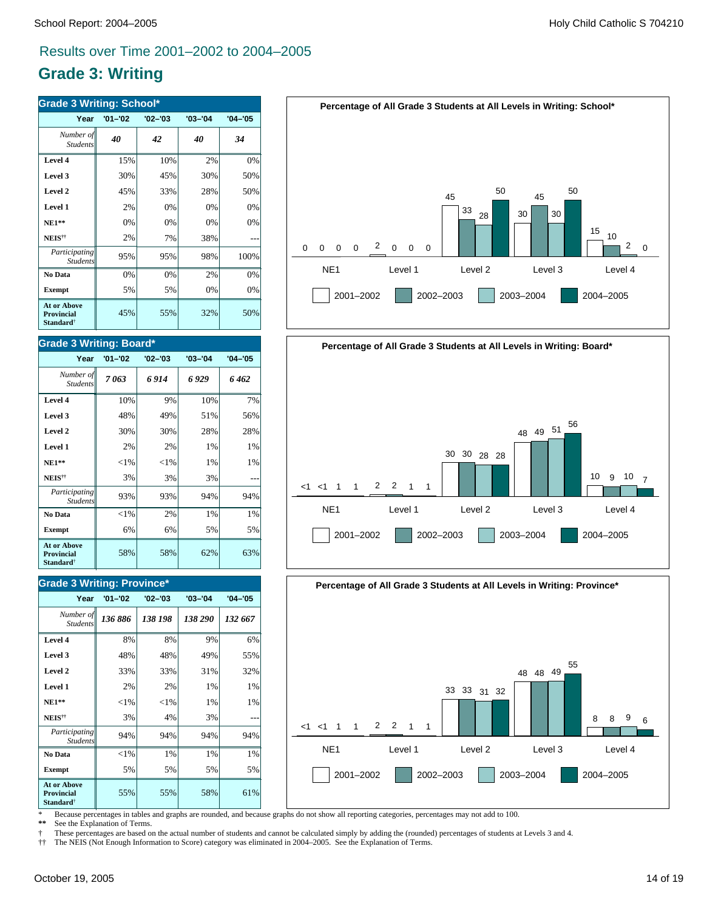# **Grade 3: Writing**

| <b>Grade 3 Writing: School*</b>                                  |             |             |             |             |  |
|------------------------------------------------------------------|-------------|-------------|-------------|-------------|--|
| Year                                                             | $'01 - '02$ | $'02 - '03$ | $'03 - '04$ | $'04 - '05$ |  |
| Number of<br><b>Students</b>                                     | 40          | 42          | 40          | 34          |  |
| Level 4                                                          | 15%         | 10%         | 2%          | 0%          |  |
| Level 3                                                          | 30%         | 45%         | 30%         | 50%         |  |
| Level 2                                                          | 45%         | 33%         | 28%         | 50%         |  |
| Level 1                                                          | 2%          | 0%          | 0%          | 0%          |  |
| $NE1**$                                                          | 0%          | 0%          | 0%          | 0%          |  |
| NEIS <sup>††</sup>                                               | 2%          | 7%          | 38%         |             |  |
| Participating<br><b>Students</b>                                 | 95%         | 95%         | 98%         | 100%        |  |
| No Data                                                          | 0%          | 0%          | 2%          | 0%          |  |
| <b>Exempt</b>                                                    | 5%          | 5%          | 0%          | 0%          |  |
| <b>At or Above</b><br>Provincial<br><b>Standard</b> <sup>†</sup> | 45%         | 55%         | 32%         | 50%         |  |

#### **Grade 3 Writing: Board\***

| Year                                                                    | $'01 - '02$ | $'02 - '03$ | $'03 - '04$ | $'04 - '05$ |
|-------------------------------------------------------------------------|-------------|-------------|-------------|-------------|
| Number of<br><b>Students</b>                                            | 7063        | 6914        | 6929        | 6 462       |
| Level 4                                                                 | 10%         | 9%          | 10%         | 7%          |
| Level 3                                                                 | 48%         | 49%         | 51%         | 56%         |
| Level 2                                                                 | 30%         | 30%         | 28%         | 28%         |
| Level 1                                                                 | 2%          | 2%          | 1%          | $1\%$       |
| <b>NE1**</b>                                                            | ${<}1\%$    | ${<}1\%$    | 1%          | 1%          |
| NEIS <sup>††</sup>                                                      | 3%          | 3%          | 3%          |             |
| Participating<br><b>Students</b>                                        | 93%         | 93%         | 94%         | 94%         |
| No Data                                                                 | ${<}1\%$    | 2%          | 1%          | $1\%$       |
| <b>Exempt</b>                                                           | 6%          | 6%          | 5%          | 5%          |
| <b>At or Above</b><br><b>Provincial</b><br><b>Standard</b> <sup>†</sup> | 58%         | 58%         | 62%         | 63%         |

### **Grade 3 Writing: Province\***

| Year                                                                    | $'01 - '02$ | $'02 - '03$ | $'03 - '04$ | $'04 - '05$ |
|-------------------------------------------------------------------------|-------------|-------------|-------------|-------------|
| Number of<br><b>Students</b>                                            | 136886      | 138 198     | 138 290     | 132 667     |
| Level 4                                                                 | 8%          | 8%          | 9%          | 6%          |
| Level 3                                                                 | 48%         | 48%         | 49%         | 55%         |
| Level 2                                                                 | 33%         | 33%         | 31%         | 32%         |
| Level 1                                                                 | 2%          | 2%          | 1%          | 1%          |
| $NE1**$                                                                 | ${<}1\%$    | ${<}1\%$    | 1%          | 1%          |
| NEIS <sup>††</sup>                                                      | 3%          | 4%          | 3%          |             |
| Participating<br><b>Students</b>                                        | 94%         | 94%         | 94%         | 94%         |
| No Data                                                                 | ${<}1\%$    | 1%          | 1%          | 1%          |
| <b>Exempt</b>                                                           | 5%          | 5%          | 5%          | 5%          |
| <b>At or Above</b><br><b>Provincial</b><br><b>Standard</b> <sup>†</sup> | 55%         | 55%         | 58%         | 61%         |







\* Because percentages in tables and graphs are rounded, and because graphs do not show all reporting categories, percentages may not add to 100.

See the Explanation of Terms.

† These percentages are based on the actual number of students and cannot be calculated simply by adding the (rounded) percentages of students at Levels 3 and 4.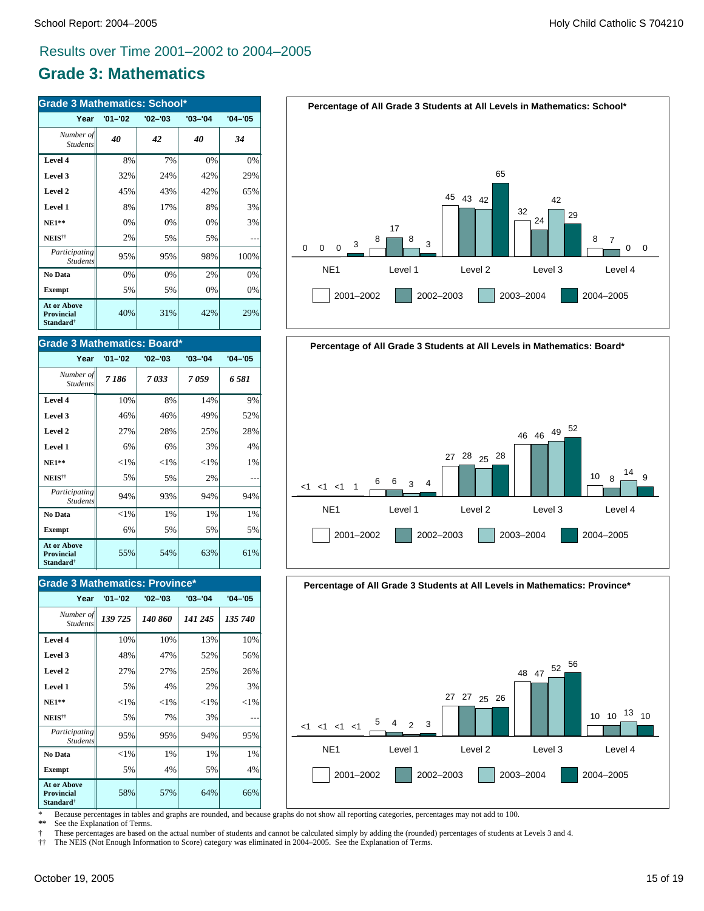# **Grade 3: Mathematics**

| <b>Grade 3 Mathematics: School*</b>                              |             |             |             |             |
|------------------------------------------------------------------|-------------|-------------|-------------|-------------|
| Year                                                             | $'01 - '02$ | $'02 - '03$ | $'03 - '04$ | $'04 - '05$ |
| Number of<br><b>Students</b>                                     | 40          | 42          | 40          | 34          |
| Level 4                                                          | 8%          | 7%          | 0%          | 0%          |
| Level 3                                                          | 32%         | 24%         | 42%         | 29%         |
| Level 2                                                          | 45%         | 43%         | 42%         | 65%         |
| Level 1                                                          | 8%          | 17%         | 8%          | 3%          |
| $NE1**$                                                          | 0%          | 0%          | 0%          | 3%          |
| NEIS <sup>††</sup>                                               | 2%          | 5%          | 5%          |             |
| Participating<br><b>Students</b>                                 | 95%         | 95%         | 98%         | 100%        |
| No Data                                                          | 0%          | 0%          | 2%          | 0%          |
| <b>Exempt</b>                                                    | 5%          | 5%          | 0%          | 0%          |
| <b>At or Above</b><br>Provincial<br><b>Standard</b> <sup>†</sup> | 40%         | 31%         | 42%         | 29%         |

#### **Grade 3 Mathematics: Board\***

| Year                                                                    | $'01 - '02$ | $'02 - '03$ | $'03 - '04$ | $'04 - '05$ |
|-------------------------------------------------------------------------|-------------|-------------|-------------|-------------|
| Number of<br><b>Students</b>                                            | 7186        | 7033        | 7 059       | 6 581       |
| Level 4                                                                 | 10%         | 8%          | 14%         | 9%          |
| Level 3                                                                 | 46%         | 46%         | 49%         | 52%         |
| Level 2                                                                 | 27%         | 28%         | 25%         | 28%         |
| Level 1                                                                 | 6%          | 6%          | 3%          | 4%          |
| <b>NE1**</b>                                                            | ${<}1\%$    | ${<}1\%$    | ${<}1\%$    | 1%          |
| NEIS <sup>††</sup>                                                      | 5%          | 5%          | 2%          |             |
| Participating<br><b>Students</b>                                        | 94%         | 93%         | 94%         | 94%         |
| No Data                                                                 | ${<}1\%$    | $1\%$       | 1%          | $1\%$       |
| <b>Exempt</b>                                                           | 6%          | 5%          | 5%          | 5%          |
| <b>At or Above</b><br><b>Provincial</b><br><b>Standard</b> <sup>†</sup> | 55%         | 54%         | 63%         | 61%         |

### **Grade 3 Mathematics: Province\***

| Year                                                                    | $'01 - '02$ | $'02 - '03$ | $'03 - '04$ | $'04 - '05$ |
|-------------------------------------------------------------------------|-------------|-------------|-------------|-------------|
| Number of<br><b>Students</b>                                            | 139 725     | 140 860     | 141 245     | 135 740     |
| Level 4                                                                 | 10%         | 10%         | 13%         | 10%         |
| Level 3                                                                 | 48%         | 47%         | 52%         | 56%         |
| Level 2                                                                 | 27%         | 27%         | 25%         | 26%         |
| Level 1                                                                 | 5%          | 4%          | 2%          | 3%          |
| <b>NE1**</b>                                                            | $<$ 1%      | ${<}1\%$    | ${<}1\%$    | ${<}1\%$    |
| NEIS <sup>††</sup>                                                      | 5%          | 7%          | 3%          |             |
| <i>Participating</i><br><b>Students</b>                                 | 95%         | 95%         | 94%         | 95%         |
| No Data                                                                 | ${<}1\%$    | 1%          | 1%          | 1%          |
| <b>Exempt</b>                                                           | 5%          | 4%          | 5%          | 4%          |
| <b>At or Above</b><br><b>Provincial</b><br><b>Standard</b> <sup>†</sup> | 58%         | 57%         | 64%         | 66%         |







\* Because percentages in tables and graphs are rounded, and because graphs do not show all reporting categories, percentages may not add to 100.

**See the Explanation of Terms.** 

† These percentages are based on the actual number of students and cannot be calculated simply by adding the (rounded) percentages of students at Levels 3 and 4.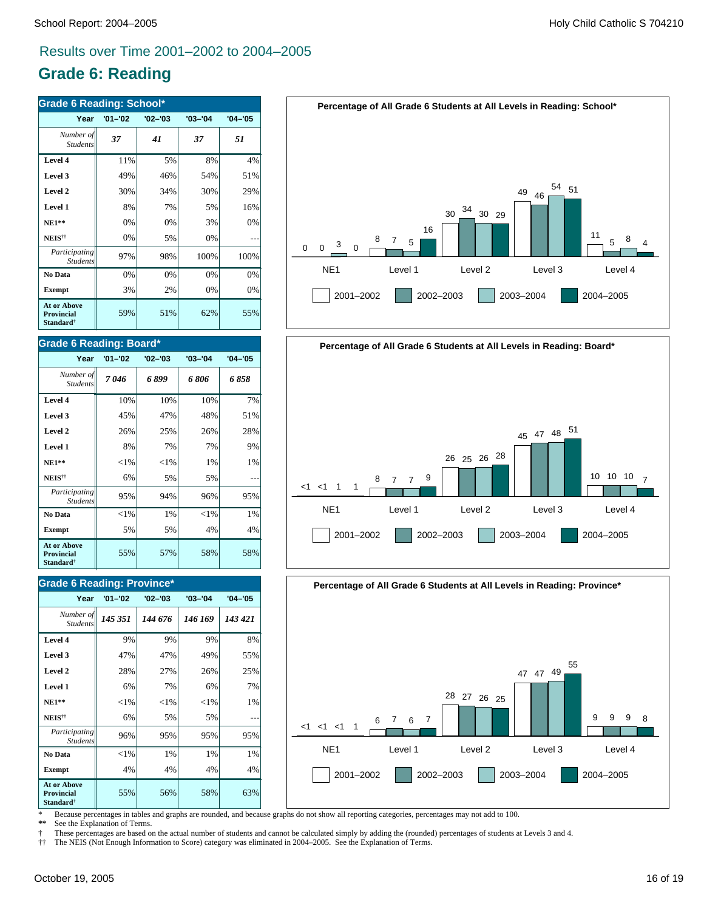# **Grade 6: Reading**

| <b>Grade 6 Reading: School*</b>                                  |             |             |             |             |
|------------------------------------------------------------------|-------------|-------------|-------------|-------------|
| Year                                                             | $'01 - '02$ | $'02 - '03$ | $'03 - '04$ | $'04 - '05$ |
| Number of<br><b>Students</b>                                     | 37          | 41          | 37          | 51          |
| Level 4                                                          | 11%         | 5%          | 8%          | 4%          |
| Level 3                                                          | 49%         | 46%         | 54%         | 51%         |
| Level 2                                                          | 30%         | 34%         | 30%         | 29%         |
| Level 1                                                          | 8%          | 7%          | 5%          | 16%         |
| <b>NE1**</b>                                                     | 0%          | 0%          | 3%          | 0%          |
| NEIS <sup>††</sup>                                               | 0%          | 5%          | 0%          |             |
| Participating<br><b>Students</b>                                 | 97%         | 98%         | 100%        | 100%        |
| No Data                                                          | 0%          | 0%          | 0%          | 0%          |
| <b>Exempt</b>                                                    | 3%          | 2%          | 0%          | 0%          |
| <b>At or Above</b><br>Provincial<br><b>Standard</b> <sup>†</sup> | 59%         | 51%         | 62%         | 55%         |

#### **Grade 6 Reading: Board\***

| Year                                                                    | $'01 - '02$ | $'02 - '03$ | $'03 - '04$ | $'04 - '05$ |
|-------------------------------------------------------------------------|-------------|-------------|-------------|-------------|
| Number of<br><b>Students</b>                                            | 7046        | 6899        | 6 806       | 6 858       |
| Level 4                                                                 | 10%         | 10%         | 10%         | 7%          |
| Level 3                                                                 | 45%         | 47%         | 48%         | 51%         |
| Level 2                                                                 | 26%         | 25%         | 26%         | 28%         |
| Level 1                                                                 | 8%          | 7%          | 7%          | 9%          |
| <b>NE1**</b>                                                            | ${<}1\%$    | ${<}1\%$    | 1%          | $1\%$       |
| NEIS <sup>††</sup>                                                      | 6%          | 5%          | 5%          |             |
| Participating<br><b>Students</b>                                        | 95%         | 94%         | 96%         | 95%         |
| No Data                                                                 | ${<}1\%$    | 1%          | ${<}1\%$    | 1%          |
| <b>Exempt</b>                                                           | 5%          | 5%          | 4%          | 4%          |
| <b>At or Above</b><br><b>Provincial</b><br><b>Standard</b> <sup>†</sup> | 55%         | 57%         | 58%         | 58%         |

#### **Grade 6 Reading: Province\***

| Year                                                                    | $'01 - '02$ | $'02 - '03$ | $'03 - '04$ | $'04 - '05$ |
|-------------------------------------------------------------------------|-------------|-------------|-------------|-------------|
| Number of<br><b>Students</b>                                            | 145 351     | 144 676     | 146 169     | 143 421     |
| Level 4                                                                 | 9%          | 9%          | 9%          | 8%          |
| Level 3                                                                 | 47%         | 47%         | 49%         | 55%         |
| Level 2                                                                 | 28%         | 27%         | 26%         | 25%         |
| Level 1                                                                 | 6%          | 7%          | 6%          | 7%          |
| <b>NE1**</b>                                                            | ${<}1\%$    | ${<}1\%$    | ${<}1%$     | 1%          |
| NEIS <sup>††</sup>                                                      | 6%          | 5%          | 5%          |             |
| Participating<br><b>Students</b>                                        | 96%         | 95%         | 95%         | 95%         |
| No Data                                                                 | ${<}1\%$    | 1%          | 1%          | $1\%$       |
| <b>Exempt</b>                                                           | 4%          | 4%          | 4%          | 4%          |
| <b>At or Above</b><br><b>Provincial</b><br><b>Standard</b> <sup>†</sup> | 55%         | 56%         | 58%         | 63%         |







\* Because percentages in tables and graphs are rounded, and because graphs do not show all reporting categories, percentages may not add to 100.

See the Explanation of Terms.

† These percentages are based on the actual number of students and cannot be calculated simply by adding the (rounded) percentages of students at Levels 3 and 4.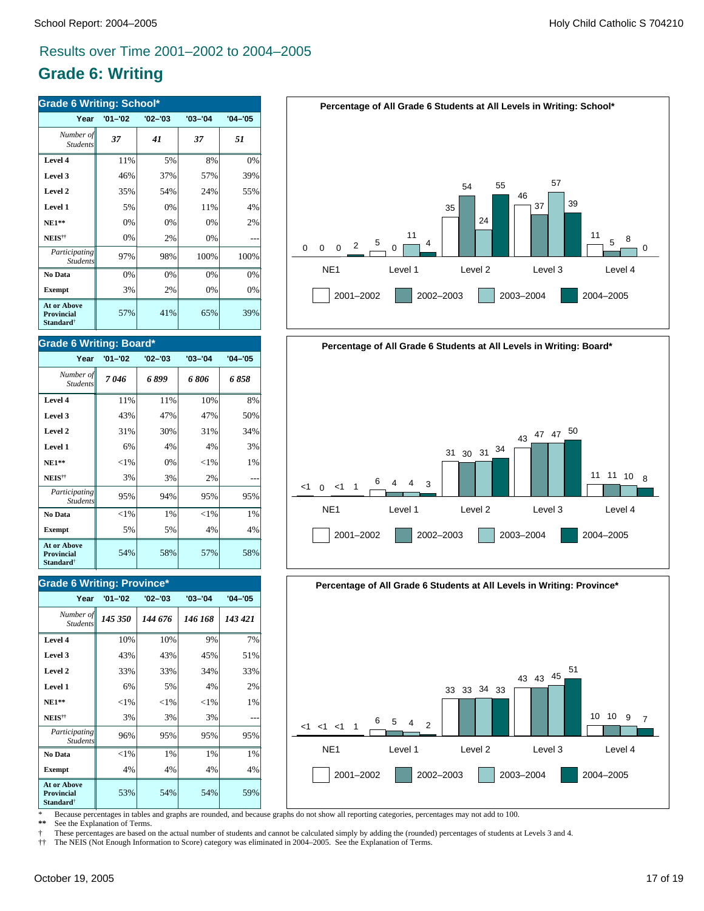# **Grade 6: Writing**

| <b>Grade 6 Writing: School*</b>                                  |             |             |             |             |  |
|------------------------------------------------------------------|-------------|-------------|-------------|-------------|--|
| Year                                                             | $'01 - '02$ | $'02 - '03$ | $'03 - '04$ | $'04 - '05$ |  |
| Number of<br><b>Students</b>                                     | 37          | 41          | 37          | 51          |  |
| Level 4                                                          | 11%         | 5%          | 8%          | 0%          |  |
| Level 3                                                          | 46%         | 37%         | 57%         | 39%         |  |
| Level 2                                                          | 35%         | 54%         | 24%         | 55%         |  |
| Level 1                                                          | 5%          | 0%          | 11%         | 4%          |  |
| $NE1**$                                                          | 0%          | 0%          | 0%          | 2%          |  |
| NEIS <sup>††</sup>                                               | 0%          | 2%          | 0%          |             |  |
| Participating<br><b>Students</b>                                 | 97%         | 98%         | 100%        | 100%        |  |
| No Data                                                          | 0%          | 0%          | 0%          | 0%          |  |
| <b>Exempt</b>                                                    | 3%          | 2%          | 0%          | 0%          |  |
| <b>At or Above</b><br>Provincial<br><b>Standard</b> <sup>†</sup> | 57%         | 41%         | 65%         | 39%         |  |

#### **Grade 6 Writing: Board\***

| Year                                                             | $'01 - '02$ | $'02 - '03$ | $'03 - '04$ | $'04 - '05$ |
|------------------------------------------------------------------|-------------|-------------|-------------|-------------|
| Number of<br><b>Students</b>                                     | 7 046       | 6899        | 6 806       | 6 858       |
| Level 4                                                          | 11%         | 11%         | 10%         | 8%          |
| Level 3                                                          | 43%         | 47%         | 47%         | 50%         |
| Level 2                                                          | 31%         | 30%         | 31%         | 34%         |
| Level 1                                                          | 6%          | 4%          | 4%          | 3%          |
| $NE1**$                                                          | ${<}1\%$    | 0%          | ${<}1\%$    | 1%          |
| NEIS <sup>††</sup>                                               | 3%          | 3%          | 2%          |             |
| Participating<br><b>Students</b>                                 | 95%         | 94%         | 95%         | 95%         |
| No Data                                                          | ${<}1\%$    | $1\%$       | ${<}1\%$    | 1%          |
| <b>Exempt</b>                                                    | 5%          | 5%          | 4%          | 4%          |
| <b>At or Above</b><br>Provincial<br><b>Standard</b> <sup>†</sup> | 54%         | 58%         | 57%         | 58%         |

### **Grade 6 Writing: Province\***

| Year                                                                    | $'01 - '02$ | $'02 - '03$ | $'03 - '04$ | $'04 - '05$ |
|-------------------------------------------------------------------------|-------------|-------------|-------------|-------------|
| Number of<br><b>Students</b>                                            | 145 350     | 144 676     | 146 168     | 143 421     |
| Level 4                                                                 | 10%         | 10%         | 9%          | 7%          |
| Level 3                                                                 | 43%         | 43%         | 45%         | 51%         |
| Level 2                                                                 | 33%         | 33%         | 34%         | 33%         |
| Level 1                                                                 | 6%          | 5%          | 4%          | 2%          |
| <b>NE1**</b>                                                            | ${<}1\%$    | ${<}1\%$    | ${<}1\%$    | 1%          |
| NEIS <sup>††</sup>                                                      | 3%          | 3%          | 3%          |             |
| Participating<br><b>Students</b>                                        | 96%         | 95%         | 95%         | 95%         |
| No Data                                                                 | ${<}1\%$    | 1%          | 1%          | 1%          |
| <b>Exempt</b>                                                           | 4%          | 4%          | 4%          | 4%          |
| <b>At or Above</b><br><b>Provincial</b><br><b>Standard</b> <sup>†</sup> | 53%         | 54%         | 54%         | 59%         |







\* Because percentages in tables and graphs are rounded, and because graphs do not show all reporting categories, percentages may not add to 100.

See the Explanation of Terms.

† These percentages are based on the actual number of students and cannot be calculated simply by adding the (rounded) percentages of students at Levels 3 and 4.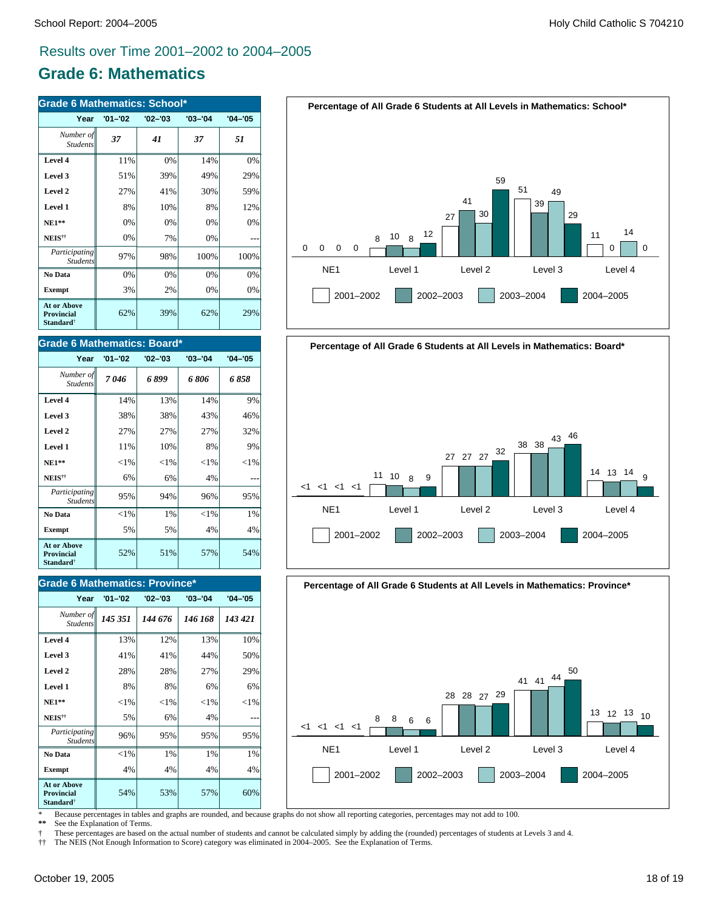# **Grade 6: Mathematics**

| <b>Grade 6 Mathematics: School*</b>                              |             |             |             |             |
|------------------------------------------------------------------|-------------|-------------|-------------|-------------|
| Year                                                             | $'01 - '02$ | $'02 - '03$ | $'03 - '04$ | $'04 - '05$ |
| Number of<br><b>Students</b>                                     | 37          | 41          | 37          | 51          |
| Level 4                                                          | 11%         | 0%          | 14%         | 0%          |
| Level 3                                                          | 51%         | 39%         | 49%         | 29%         |
| Level 2                                                          | 27%         | 41%         | 30%         | 59%         |
| Level 1                                                          | 8%          | 10%         | 8%          | 12%         |
| $NE1**$                                                          | 0%          | 0%          | 0%          | 0%          |
| NEIS <sup>††</sup>                                               | 0%          | 7%          | 0%          |             |
| Participating<br><b>Students</b>                                 | 97%         | 98%         | 100%        | 100%        |
| No Data                                                          | 0%          | 0%          | 0%          | 0%          |
| <b>Exempt</b>                                                    | 3%          | 2%          | 0%          | 0%          |
| <b>At or Above</b><br>Provincial<br><b>Standard</b> <sup>†</sup> | 62%         | 39%         | 62%         | 29%         |

#### **Grade 6 Mathematics: Board\***

| Year                                                             | $'01 - '02$ | $'02 - '03$ | $'03 - '04$ | $'04 - '05$ |
|------------------------------------------------------------------|-------------|-------------|-------------|-------------|
| Number of<br><b>Students</b>                                     | 7046        | 6899        | 6 806       | 6 858       |
| Level 4                                                          | 14%         | 13%         | 14%         | 9%          |
| Level 3                                                          | 38%         | 38%         | 43%         | 46%         |
| Level 2                                                          | 27%         | 27%         | 27%         | 32%         |
| Level 1                                                          | 11%         | 10%         | 8%          | 9%          |
| $NE1**$                                                          | ${<}1\%$    | ${<}1\%$    | ${<}1\%$    | ${<}1\%$    |
| NEIS <sup>††</sup>                                               | 6%          | 6%          | 4%          |             |
| Participating<br><b>Students</b>                                 | 95%         | 94%         | 96%         | 95%         |
| No Data                                                          | ${<}1\%$    | 1%          | ${<}1\%$    | $1\%$       |
| Exempt                                                           | 5%          | 5%          | 4%          | 4%          |
| <b>At or Above</b><br>Provincial<br><b>Standard</b> <sup>†</sup> | 52%         | 51%         | 57%         | 54%         |

### **Grade 6 Mathematics: Province\***

| Year                                                                    | $'01 - '02$ | $'02 - '03$ | $'03 - '04$ | $'04 - '05$ |
|-------------------------------------------------------------------------|-------------|-------------|-------------|-------------|
| Number of<br><b>Students</b>                                            | 145 351     | 144 676     | 146 168     | 143 421     |
| Level 4                                                                 | 13%         | 12%         | 13%         | 10%         |
| Level 3                                                                 | 41%         | 41%         | 44%         | 50%         |
| Level 2                                                                 | 28%         | 28%         | 27%         | 29%         |
| Level 1                                                                 | 8%          | 8%          | 6%          | 6%          |
| <b>NE1**</b>                                                            | $<$ 1%      | ${<}1\%$    | ${<}1\%$    | ${<}1\%$    |
| NEIS <sup>††</sup>                                                      | 5%          | 6%          | 4%          |             |
| Participating<br><b>Students</b>                                        | 96%         | 95%         | 95%         | 95%         |
| No Data                                                                 | $<$ 1%      | 1%          | 1%          | 1%          |
| <b>Exempt</b>                                                           | 4%          | 4%          | 4%          | 4%          |
| <b>At or Above</b><br><b>Provincial</b><br><b>Standard</b> <sup>†</sup> | 54%         | 53%         | 57%         | 60%         |







\* Because percentages in tables and graphs are rounded, and because graphs do not show all reporting categories, percentages may not add to 100.

See the Explanation of Terms.

† These percentages are based on the actual number of students and cannot be calculated simply by adding the (rounded) percentages of students at Levels 3 and 4.